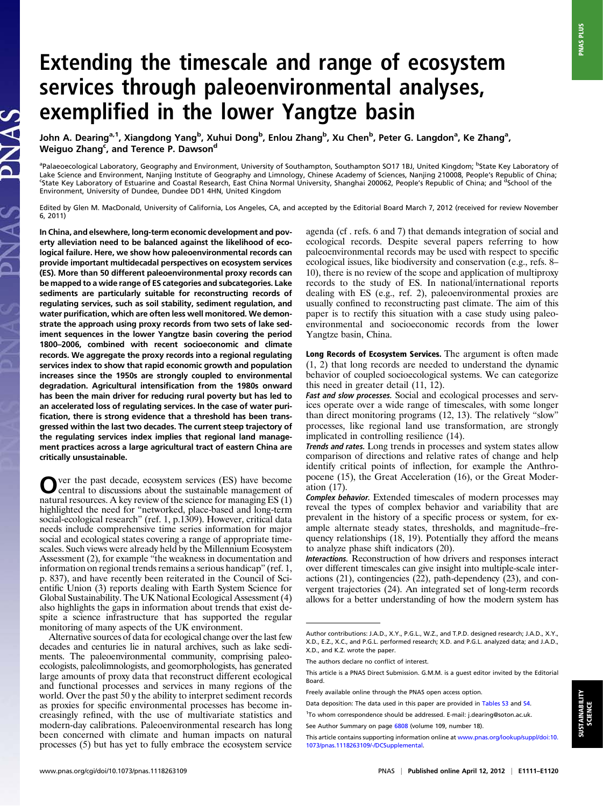# Extending the timescale and range of ecosystem services through paleoenvironmental analyses, exemplified in the lower Yangtze basin

John A. Dearing<sup>a, 1</sup>, Xiangdong Yang<sup>b</sup>, Xuhui Dong<sup>b</sup>, Enlou Zhang<sup>b</sup>, Xu Chen<sup>b</sup>, Peter G. Langdon<sup>a</sup>, Ke Zhang<sup>a</sup>, Weiguo Zhang<sup>c</sup>, and Terence P. Dawson<sup>d</sup>

<sup>a</sup>Palaeoecological Laboratory, Geography and Environment, University of Southampton, Southampton SO17 1BJ, United Kingdom; <sup>b</sup>State Key Laboratory of Lake Science and Environment, Nanjing Institute of Geography and Limnology, Chinese Academy of Sciences, Nanjing 210008, People's Republic of China; <sup>c</sup> State Key Laboratory of Estuarine and Coastal Research, East China Normal University, Shanghai 200062, People's Republic of China; and <sup>d</sup>School of the Environment, University of Dundee, Dundee DD1 4HN, United Kingdom

Edited by Glen M. MacDonald, University of California, Los Angeles, CA, and accepted by the Editorial Board March 7, 2012 (received for review November 6, 2011)

In China, and elsewhere, long-term economic development and poverty alleviation need to be balanced against the likelihood of ecological failure. Here, we show how paleoenvironmental records can provide important multidecadal perspectives on ecosystem services (ES). More than 50 different paleoenvironmental proxy records can be mapped to a wide range of ES categories and subcategories. Lake sediments are particularly suitable for reconstructing records of regulating services, such as soil stability, sediment regulation, and water purification, which are often less well monitored. We demonstrate the approach using proxy records from two sets of lake sediment sequences in the lower Yangtze basin covering the period 1800–2006, combined with recent socioeconomic and climate records. We aggregate the proxy records into a regional regulating services index to show that rapid economic growth and population increases since the 1950s are strongly coupled to environmental degradation. Agricultural intensification from the 1980s onward has been the main driver for reducing rural poverty but has led to an accelerated loss of regulating services. In the case of water purification, there is strong evidence that a threshold has been transgressed within the last two decades. The current steep trajectory of the regulating services index implies that regional land management practices across a large agricultural tract of eastern China are critically unsustainable.

**PNAS** 

Over the past decade, ecosystem services (ES) have become central to discussions about the sustainable management of natural resources. A key review of the science for managing ES (1) highlighted the need for "networked, place-based and long-term social-ecological research" (ref. 1, p.1309). However, critical data needs include comprehensive time series information for major social and ecological states covering a range of appropriate timescales. Such views were already held by the Millennium Ecosystem Assessment (2), for example "the weakness in documentation and information on regional trends remains a serious handicap" (ref. 1, p. 837), and have recently been reiterated in the Council of Scientific Union (3) reports dealing with Earth System Science for Global Sustainability. The UK National Ecological Assessment (4) also highlights the gaps in information about trends that exist despite a science infrastructure that has supported the regular monitoring of many aspects of the UK environment.

Alternative sources of data for ecological change over the last few decades and centuries lie in natural archives, such as lake sediments. The paleoenvironmental community, comprising paleoecologists, paleolimnologists, and geomorphologists, has generated large amounts of proxy data that reconstruct different ecological and functional processes and services in many regions of the world. Over the past 50 y the ability to interpret sediment records as proxies for specific environmental processes has become increasingly refined, with the use of multivariate statistics and modern-day calibrations. Paleoenvironmental research has long been concerned with climate and human impacts on natural processes (5) but has yet to fully embrace the ecosystem service agenda (cf . refs. 6 and 7) that demands integration of social and ecological records. Despite several papers referring to how paleoenvironmental records may be used with respect to specific ecological issues, like biodiversity and conservation (e.g., refs. 8– 10), there is no review of the scope and application of multiproxy records to the study of ES. In national/international reports dealing with ES (e.g., ref. 2), paleoenvironmental proxies are usually confined to reconstructing past climate. The aim of this paper is to rectify this situation with a case study using paleoenvironmental and socioeconomic records from the lower Yangtze basin, China.

Long Records of Ecosystem Services. The argument is often made (1, 2) that long records are needed to understand the dynamic behavior of coupled socioecological systems. We can categorize this need in greater detail (11, 12).

Fast and slow processes. Social and ecological processes and services operate over a wide range of timescales, with some longer than direct monitoring programs (12, 13). The relatively "slow" processes, like regional land use transformation, are strongly implicated in controlling resilience (14).

Trends and rates. Long trends in processes and system states allow comparison of directions and relative rates of change and help identify critical points of inflection, for example the Anthropocene (15), the Great Acceleration (16), or the Great Moderation (17).

Complex behavior. Extended timescales of modern processes may reveal the types of complex behavior and variability that are prevalent in the history of a specific process or system, for example alternate steady states, thresholds, and magnitude–frequency relationships (18, 19). Potentially they afford the means to analyze phase shift indicators (20).

Interactions. Reconstruction of how drivers and responses interact over different timescales can give insight into multiple-scale interactions (21), contingencies (22), path-dependency (23), and convergent trajectories (24). An integrated set of long-term records allows for a better understanding of how the modern system has

The authors declare no conflict of interest.

SUSTAINABILITY SUSTAINABILITY<br>SCIENCE

Author contributions: J.A.D., X.Y., P.G.L., W.Z., and T.P.D. designed research; J.A.D., X.Y., X.D., E.Z., X.C., and P.G.L. performed research; X.D. and P.G.L. analyzed data; and J.A.D., X.D., and K.Z. wrote the paper.

This article is a PNAS Direct Submission. G.M.M. is a guest editor invited by the Editorial Board.

Freely available online through the PNAS open access option.

Data deposition: The data used in this paper are provided in [Tables S3](http://www.pnas.org/lookup/suppl/doi:10.1073/pnas.1118263109/-/DCSupplemental/pnas.201118263SI.pdf?targetid=nameddest=ST3) and [S4](http://www.pnas.org/lookup/suppl/doi:10.1073/pnas.1118263109/-/DCSupplemental/pnas.201118263SI.pdf?targetid=nameddest=ST4).

<sup>1</sup> To whom correspondence should be addressed. E-mail: [j.dearing@soton.ac.uk.](mailto:j.dearing@soton.ac.uk)

See Author Summary on page [6808](http://www.pnas.org/content/109/18/E1111/1) (volume 109, number 18).

This article contains supporting information online at [www.pnas.org/lookup/suppl/doi:10.](http://www.pnas.org/lookup/suppl/doi:10.1073/pnas.1118263109/-/DCSupplemental) [1073/pnas.1118263109/-/DCSupplemental](http://www.pnas.org/lookup/suppl/doi:10.1073/pnas.1118263109/-/DCSupplemental).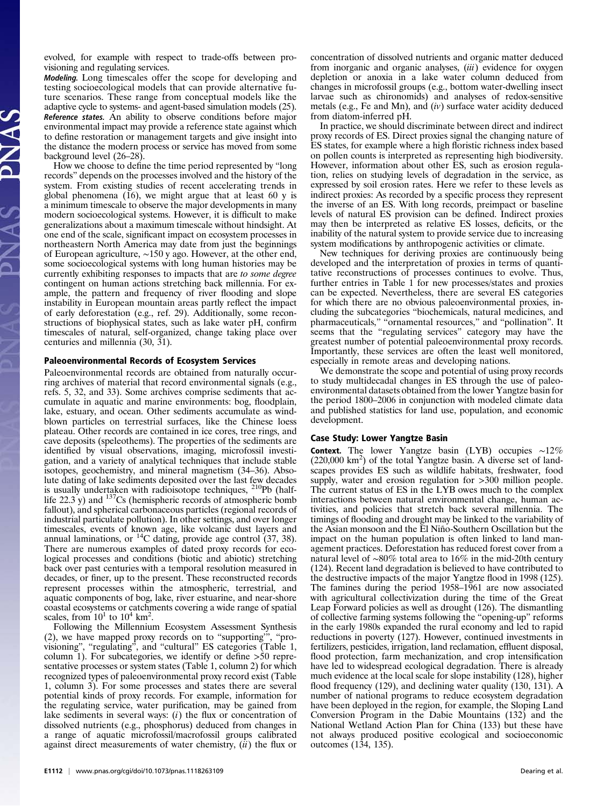evolved, for example with respect to trade-offs between provisioning and regulating services.

Modeling. Long timescales offer the scope for developing and testing socioecological models that can provide alternative future scenarios. These range from conceptual models like the adaptive cycle to systems- and agent-based simulation models (25). Reference states. An ability to observe conditions before major environmental impact may provide a reference state against which to define restoration or management targets and give insight into the distance the modern process or service has moved from some background level (26–28).

How we choose to define the time period represented by "long records" depends on the processes involved and the history of the system. From existing studies of recent accelerating trends in global phenomena  $(16)$ , we might argue that at least 60 y is a minimum timescale to observe the major developments in many modern socioecological systems. However, it is difficult to make generalizations about a maximum timescale without hindsight. At one end of the scale, significant impact on ecosystem processes in northeastern North America may date from just the beginnings of European agriculture, ∼150 y ago. However, at the other end, some socioecological systems with long human histories may be currently exhibiting responses to impacts that are to some degree contingent on human actions stretching back millennia. For example, the pattern and frequency of river flooding and slope instability in European mountain areas partly reflect the impact of early deforestation (e.g., ref. 29). Additionally, some reconstructions of biophysical states, such as lake water pH, confirm timescales of natural, self-organized, change taking place over centuries and millennia (30, 31).

## Paleoenvironmental Records of Ecosystem Services

Paleoenvironmental records are obtained from naturally occurring archives of material that record environmental signals (e.g., refs. 5, 32, and 33). Some archives comprise sediments that accumulate in aquatic and marine environments: bog, floodplain, lake, estuary, and ocean. Other sediments accumulate as windblown particles on terrestrial surfaces, like the Chinese loess plateau. Other records are contained in ice cores, tree rings, and cave deposits (speleothems). The properties of the sediments are identified by visual observations, imaging, microfossil investigation, and a variety of analytical techniques that include stable isotopes, geochemistry, and mineral magnetism (34–36). Absolute dating of lake sediments deposited over the last few decades is usually undertaken with radioisotope techniques, <sup>210</sup>Pb (halflife 22.3 y) and  $137$ Cs (hemispheric records of atmospheric bomb fallout), and spherical carbonaceous particles (regional records of industrial particulate pollution). In other settings, and over longer timescales, events of known age, like volcanic dust layers and annual laminations, or  $^{14}$ C dating, provide age control (37, 38). There are numerous examples of dated proxy records for ecological processes and conditions (biotic and abiotic) stretching back over past centuries with a temporal resolution measured in decades, or finer, up to the present. These reconstructed records represent processes within the atmospheric, terrestrial, and aquatic components of bog, lake, river estuarine, and near-shore coastal ecosystems or catchments covering a wide range of spatial scales, from  $10^1$  to  $10^4$  km<sup>2</sup>.

Following the Millennium Ecosystem Assessment Synthesis (2), we have mapped proxy records on to "supporting'", "provisioning", "regulating", and "cultural" ES categories (Table 1, column 1). For subcategories, we identify or define >50 representative processes or system states (Table 1, column 2) for which recognized types of paleoenvironmental proxy record exist (Table 1, column 3). For some processes and states there are several potential kinds of proxy records. For example, information for the regulating service, water purification, may be gained from lake sediments in several ways:  $(i)$  the flux or concentration of dissolved nutrients (e.g., phosphorus) deduced from changes in a range of aquatic microfossil/macrofossil groups calibrated against direct measurements of water chemistry,  $(ii)$  the flux or concentration of dissolved nutrients and organic matter deduced from inorganic and organic analyses, *(iii)* evidence for oxygen depletion or anoxia in a lake water column deduced from changes in microfossil groups (e.g., bottom water-dwelling insect larvae such as chironomids) and analyses of redox-sensitive metals (e.g., Fe and Mn), and  $(iv)$  surface water acidity deduced from diatom-inferred pH.

In practice, we should discriminate between direct and indirect proxy records of ES. Direct proxies signal the changing nature of ES states, for example where a high floristic richness index based on pollen counts is interpreted as representing high biodiversity. However, information about other ES, such as erosion regulation, relies on studying levels of degradation in the service, as expressed by soil erosion rates. Here we refer to these levels as indirect proxies: As recorded by a specific process they represent the inverse of an ES. With long records, preimpact or baseline levels of natural ES provision can be defined. Indirect proxies may then be interpreted as relative ES losses, deficits, or the inability of the natural system to provide service due to increasing system modifications by anthropogenic activities or climate.

New techniques for deriving proxies are continuously being developed and the interpretation of proxies in terms of quantitative reconstructions of processes continues to evolve. Thus, further entries in Table 1 for new processes/states and proxies can be expected. Nevertheless, there are several ES categories for which there are no obvious paleoenvironmental proxies, including the subcategories "biochemicals, natural medicines, and pharmaceuticals," "ornamental resources," and "pollination". It seems that the "regulating services" category may have the greatest number of potential paleoenvironmental proxy records. Importantly, these services are often the least well monitored, especially in remote areas and developing nations.

We demonstrate the scope and potential of using proxy records to study multidecadal changes in ES through the use of paleoenvironmental datasets obtained from the lower Yangtze basin for the period 1800–2006 in conjunction with modeled climate data and published statistics for land use, population, and economic development.

# Case Study: Lower Yangtze Basin

Context. The lower Yangtze basin (LYB) occupies ∼12%  $(220,000 \text{ km}^2)$  of the total Yangtze basin. A diverse set of landscapes provides ES such as wildlife habitats, freshwater, food supply, water and erosion regulation for  $>300$  million people. The current status of ES in the LYB owes much to the complex interactions between natural environmental change, human activities, and policies that stretch back several millennia. The timings of flooding and drought may be linked to the variability of the Asian monsoon and the El Niño-Southern Oscillation but the impact on the human population is often linked to land management practices. Deforestation has reduced forest cover from a natural level of ∼80% total area to 16% in the mid-20th century (124). Recent land degradation is believed to have contributed to the destructive impacts of the major Yangtze flood in 1998 (125). The famines during the period 1958–1961 are now associated with agricultural collectivization during the time of the Great Leap Forward policies as well as drought (126). The dismantling of collective farming systems following the "opening-up" reforms in the early 1980s expanded the rural economy and led to rapid reductions in poverty (127). However, continued investments in fertilizers, pesticides, irrigation, land reclamation, effluent disposal, flood protection, farm mechanization, and crop intensification have led to widespread ecological degradation. There is already much evidence at the local scale for slope instability (128), higher flood frequency (129), and declining water quality (130, 131). A number of national programs to reduce ecosystem degradation have been deployed in the region, for example, the Sloping Land Conversion Program in the Dabie Mountains (132) and the National Wetland Action Plan for China (133) but these have not always produced positive ecological and socioeconomic outcomes (134, 135).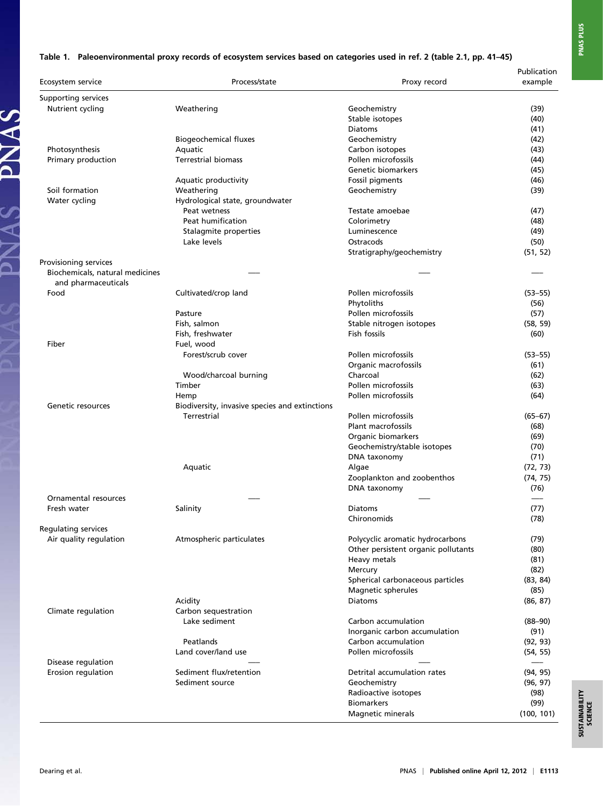# Table 1. Paleoenvironmental proxy records of ecosystem services based on categories used in ref. 2 (table 2.1, pp. 41–45)

| Ecosystem service                                        | Process/state                                  | Proxy record                        | Publication<br>example |
|----------------------------------------------------------|------------------------------------------------|-------------------------------------|------------------------|
| Supporting services                                      |                                                |                                     |                        |
| Nutrient cycling                                         | Weathering                                     | Geochemistry                        | (39)                   |
|                                                          |                                                | Stable isotopes                     | (40)                   |
|                                                          |                                                | Diatoms                             | (41)                   |
|                                                          | Biogeochemical fluxes                          | Geochemistry                        | (42)                   |
| Photosynthesis                                           | Aquatic                                        | Carbon isotopes                     | (43)                   |
| Primary production                                       | <b>Terrestrial biomass</b>                     | Pollen microfossils                 | (44)                   |
|                                                          |                                                | Genetic biomarkers                  | (45)                   |
|                                                          | Aquatic productivity                           | Fossil pigments                     | (46)                   |
| Soil formation                                           | Weathering                                     | Geochemistry                        | (39)                   |
| Water cycling                                            | Hydrological state, groundwater                |                                     |                        |
|                                                          | Peat wetness                                   | Testate amoebae                     | (47)                   |
|                                                          | Peat humification                              | Colorimetry                         | (48)                   |
|                                                          | Stalagmite properties                          | Luminescence                        | (49)                   |
|                                                          | Lake levels                                    | Ostracods                           | (50)                   |
|                                                          |                                                | Stratigraphy/geochemistry           | (51, 52)               |
| Provisioning services<br>Biochemicals, natural medicines |                                                |                                     |                        |
| and pharmaceuticals                                      |                                                |                                     |                        |
| Food                                                     | Cultivated/crop land                           | Pollen microfossils                 | $(53 - 55)$            |
|                                                          |                                                | Phytoliths                          | (56)                   |
|                                                          | Pasture                                        | Pollen microfossils                 | (57)                   |
|                                                          | Fish, salmon                                   | Stable nitrogen isotopes            | (58, 59)               |
|                                                          | Fish, freshwater                               | Fish fossils                        | (60)                   |
| Fiber                                                    | Fuel, wood                                     |                                     |                        |
|                                                          | Forest/scrub cover                             | Pollen microfossils                 | $(53 - 55)$            |
|                                                          |                                                | Organic macrofossils                | (61)                   |
|                                                          | Wood/charcoal burning                          | Charcoal                            | (62)                   |
|                                                          | Timber                                         | Pollen microfossils                 | (63)                   |
|                                                          | Hemp                                           | Pollen microfossils                 | (64)                   |
| Genetic resources                                        | Biodiversity, invasive species and extinctions |                                     |                        |
|                                                          | Terrestrial                                    | Pollen microfossils                 | $(65 - 67)$            |
|                                                          |                                                | Plant macrofossils                  | (68)                   |
|                                                          |                                                | Organic biomarkers                  | (69)                   |
|                                                          |                                                | Geochemistry/stable isotopes        | (70)                   |
|                                                          |                                                | DNA taxonomy                        | (71)                   |
|                                                          | Aquatic                                        | Algae                               | (72, 73)               |
|                                                          |                                                | Zooplankton and zoobenthos          | (74, 75)               |
|                                                          |                                                | DNA taxonomy                        | (76)                   |
| Ornamental resources                                     |                                                |                                     |                        |
| Fresh water                                              | Salinity                                       | <b>Diatoms</b>                      | (77)                   |
|                                                          |                                                | Chironomids                         | (78)                   |
| Regulating services                                      |                                                |                                     |                        |
| Air quality regulation                                   | Atmospheric particulates                       | Polycyclic aromatic hydrocarbons    | (79)                   |
|                                                          |                                                | Other persistent organic pollutants | (80)                   |
|                                                          |                                                | Heavy metals                        | (81)                   |
|                                                          |                                                | Mercury                             | (82)                   |
|                                                          |                                                | Spherical carbonaceous particles    | (83, 84)               |
|                                                          |                                                | Magnetic spherules                  | (85)                   |
|                                                          | Acidity                                        | <b>Diatoms</b>                      | (86, 87)               |
| Climate regulation                                       | Carbon sequestration                           |                                     |                        |
|                                                          | Lake sediment                                  | Carbon accumulation                 | $(88 - 90)$            |
|                                                          |                                                | Inorganic carbon accumulation       | (91)                   |
|                                                          | Peatlands                                      | Carbon accumulation                 | (92, 93)               |
|                                                          | Land cover/land use                            | Pollen microfossils                 | (54, 55)               |
| Disease regulation                                       |                                                |                                     |                        |
| Erosion regulation                                       | Sediment flux/retention                        | Detrital accumulation rates         | (94, 95)               |
|                                                          | Sediment source                                | Geochemistry                        | (96, 97)               |
|                                                          |                                                | Radioactive isotopes                | (98)                   |
|                                                          |                                                | <b>Biomarkers</b>                   | (99)                   |
|                                                          |                                                | Magnetic minerals                   | (100, 101)             |
|                                                          |                                                |                                     |                        |

PNAS PNAS

SUSTAINABILITY SUSTAINABILITY<br>SCIENCE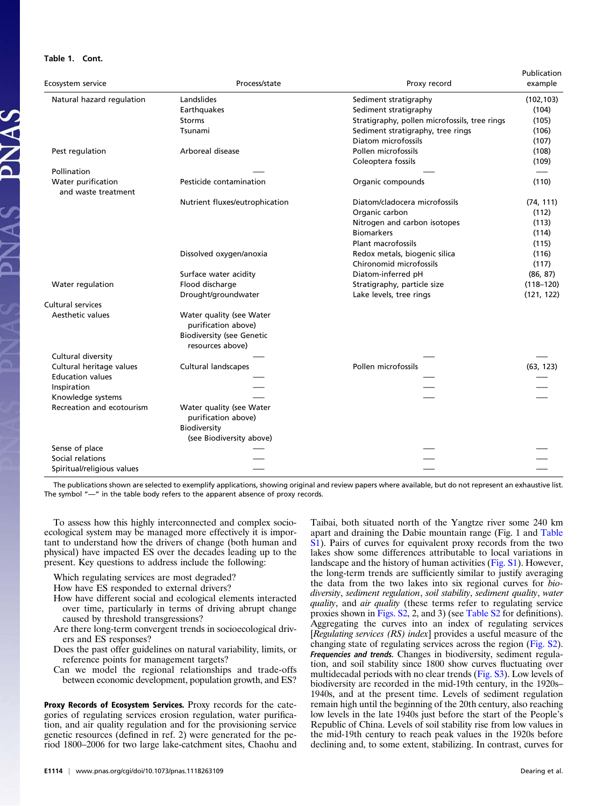### Table 1. Cont.

| Ecosystem service                         | Process/state                                        | Proxy record                                  | Publication<br>example |
|-------------------------------------------|------------------------------------------------------|-----------------------------------------------|------------------------|
| Natural hazard regulation                 | Landslides                                           | Sediment stratigraphy                         | (102, 103)             |
|                                           | Earthquakes                                          | Sediment stratigraphy                         | (104)                  |
|                                           | Storms                                               | Stratigraphy, pollen microfossils, tree rings | (105)                  |
|                                           | Tsunami                                              | Sediment stratigraphy, tree rings             | (106)                  |
|                                           |                                                      | Diatom microfossils                           | (107)                  |
| Pest regulation                           | Arboreal disease                                     | Pollen microfossils                           | (108)                  |
|                                           |                                                      | Coleoptera fossils                            | (109)                  |
| Pollination                               |                                                      |                                               |                        |
| Water purification<br>and waste treatment | Pesticide contamination                              | Organic compounds                             | (110)                  |
|                                           | Nutrient fluxes/eutrophication                       | Diatom/cladocera microfossils                 | (74, 111)              |
|                                           |                                                      | Organic carbon                                | (112)                  |
|                                           |                                                      | Nitrogen and carbon isotopes                  | (113)                  |
|                                           |                                                      | <b>Biomarkers</b>                             | (114)                  |
|                                           |                                                      | <b>Plant macrofossils</b>                     | (115)                  |
|                                           | Dissolved oxygen/anoxia                              | Redox metals, biogenic silica                 | (116)                  |
|                                           |                                                      | Chironomid microfossils                       | (117)                  |
|                                           | Surface water acidity                                | Diatom-inferred pH                            | (86, 87)               |
| Water regulation                          | Flood discharge                                      | Stratigraphy, particle size                   | $(118 - 120)$          |
|                                           | Drought/groundwater                                  | Lake levels, tree rings                       | (121, 122)             |
| Cultural services                         |                                                      |                                               |                        |
| Aesthetic values                          | Water quality (see Water<br>purification above)      |                                               |                        |
|                                           | <b>Biodiversity (see Genetic</b><br>resources above) |                                               |                        |
| Cultural diversity                        |                                                      |                                               |                        |
| Cultural heritage values                  | Cultural landscapes                                  | Pollen microfossils                           | (63, 123)              |
| <b>Education values</b>                   |                                                      |                                               |                        |
| Inspiration                               |                                                      |                                               |                        |
| Knowledge systems                         |                                                      |                                               |                        |
| Recreation and ecotourism                 | Water quality (see Water<br>purification above)      |                                               |                        |
|                                           | Biodiversity                                         |                                               |                        |
|                                           | (see Biodiversity above)                             |                                               |                        |
| Sense of place                            |                                                      |                                               |                        |
| Social relations                          |                                                      |                                               |                        |
| Spiritual/religious values                |                                                      |                                               |                        |

The publications shown are selected to exemplify applications, showing original and review papers where available, but do not represent an exhaustive list. The symbol "—" in the table body refers to the apparent absence of proxy records.

To assess how this highly interconnected and complex socioecological system may be managed more effectively it is important to understand how the drivers of change (both human and physical) have impacted ES over the decades leading up to the present. Key questions to address include the following:

Which regulating services are most degraded?

- How have ES responded to external drivers?
- How have different social and ecological elements interacted over time, particularly in terms of driving abrupt change caused by threshold transgressions?
- Are there long-term convergent trends in socioecological drivers and ES responses?
- Does the past offer guidelines on natural variability, limits, or reference points for management targets?
- Can we model the regional relationships and trade-offs between economic development, population growth, and ES?

Proxy Records of Ecosystem Services. Proxy records for the categories of regulating services erosion regulation, water purification, and air quality regulation and for the provisioning service genetic resources (defined in ref. 2) were generated for the period 1800–2006 for two large lake-catchment sites, Chaohu and Taibai, both situated north of the Yangtze river some 240 km apart and draining the Dabie mountain range (Fig. 1 and [Table](http://www.pnas.org/lookup/suppl/doi:10.1073/pnas.1118263109/-/DCSupplemental/pnas.201118263SI.pdf?targetid=nameddest=ST1) [S1\)](http://www.pnas.org/lookup/suppl/doi:10.1073/pnas.1118263109/-/DCSupplemental/pnas.201118263SI.pdf?targetid=nameddest=ST1). Pairs of curves for equivalent proxy records from the two lakes show some differences attributable to local variations in landscape and the history of human activities [\(Fig. S1](http://www.pnas.org/lookup/suppl/doi:10.1073/pnas.1118263109/-/DCSupplemental/pnas.201118263SI.pdf?targetid=nameddest=SF1)). However, the long-term trends are sufficiently similar to justify averaging the data from the two lakes into six regional curves for biodiversity, sediment regulation, soil stability, sediment quality, water quality, and air quality (these terms refer to regulating service proxies shown in [Figs. S2](http://www.pnas.org/lookup/suppl/doi:10.1073/pnas.1118263109/-/DCSupplemental/pnas.201118263SI.pdf?targetid=nameddest=SF2), 2, and 3) (see [Table S2](http://www.pnas.org/lookup/suppl/doi:10.1073/pnas.1118263109/-/DCSupplemental/pnas.201118263SI.pdf?targetid=nameddest=ST2) for definitions). Aggregating the curves into an index of regulating services [Regulating services (RS) index] provides a useful measure of the changing state of regulating services across the region [\(Fig. S2\)](http://www.pnas.org/lookup/suppl/doi:10.1073/pnas.1118263109/-/DCSupplemental/pnas.201118263SI.pdf?targetid=nameddest=SF2). Frequencies and trends. Changes in biodiversity, sediment regulation, and soil stability since 1800 show curves fluctuating over multidecadal periods with no clear trends [\(Fig. S3](http://www.pnas.org/lookup/suppl/doi:10.1073/pnas.1118263109/-/DCSupplemental/pnas.201118263SI.pdf?targetid=nameddest=SF3)). Low levels of biodiversity are recorded in the mid-19th century, in the 1920s– 1940s, and at the present time. Levels of sediment regulation remain high until the beginning of the 20th century, also reaching low levels in the late 1940s just before the start of the People's Republic of China. Levels of soil stability rise from low values in the mid-19th century to reach peak values in the 1920s before declining and, to some extent, stabilizing. In contrast, curves for

Publication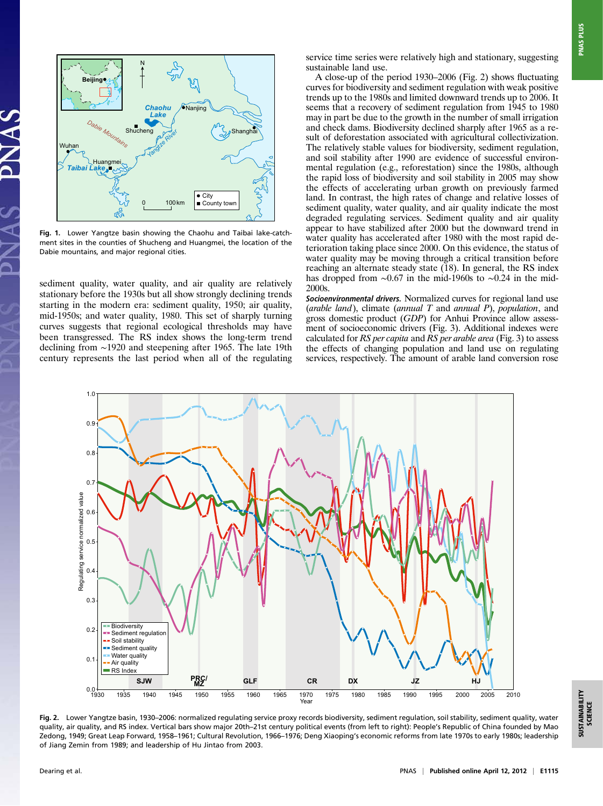

Fig. 1. Lower Yangtze basin showing the Chaohu and Taibai lake-catchment sites in the counties of Shucheng and Huangmei, the location of the Dabie mountains, and major regional cities.

sediment quality, water quality, and air quality are relatively stationary before the 1930s but all show strongly declining trends starting in the modern era: sediment quality, 1950; air quality, mid-1950s; and water quality, 1980. This set of sharply turning curves suggests that regional ecological thresholds may have been transgressed. The RS index shows the long-term trend declining from ∼1920 and steepening after 1965. The late 19th century represents the last period when all of the regulating service time series were relatively high and stationary, suggesting sustainable land use.

A close-up of the period 1930–2006 (Fig. 2) shows fluctuating curves for biodiversity and sediment regulation with weak positive trends up to the 1980s and limited downward trends up to 2006. It seems that a recovery of sediment regulation from 1945 to 1980 may in part be due to the growth in the number of small irrigation and check dams. Biodiversity declined sharply after 1965 as a result of deforestation associated with agricultural collectivization. The relatively stable values for biodiversity, sediment regulation, and soil stability after 1990 are evidence of successful environmental regulation (e.g., reforestation) since the 1980s, although the rapid loss of biodiversity and soil stability in 2005 may show the effects of accelerating urban growth on previously farmed land. In contrast, the high rates of change and relative losses of sediment quality, water quality, and air quality indicate the most degraded regulating services. Sediment quality and air quality appear to have stabilized after 2000 but the downward trend in water quality has accelerated after 1980 with the most rapid deterioration taking place since 2000. On this evidence, the status of water quality may be moving through a critical transition before reaching an alternate steady state (18). In general, the RS index has dropped from ∼0.67 in the mid-1960s to ∼0.24 in the mid-2000s.

Socioenvironmental drivers. Normalized curves for regional land use (arable land), climate (annual  $T$  and annual  $P$ ), population, and gross domestic product (GDP) for Anhui Province allow assessment of socioeconomic drivers (Fig. 3). Additional indexes were calculated for  $RS$  per capita and  $RS$  per arable area (Fig. 3) to assess the effects of changing population and land use on regulating services, respectively. The amount of arable land conversion rose



Fig. 2. Lower Yangtze basin, 1930–2006: normalized regulating service proxy records biodiversity, sediment regulation, soil stability, sediment quality, water quality, air quality, and RS index. Vertical bars show major 20th–21st century political events (from left to right): People's Republic of China founded by Mao Zedong, 1949; Great Leap Forward, 1958–1961; Cultural Revolution, 1966–1976; Deng Xiaoping's economic reforms from late 1970s to early 1980s; leadership of Jiang Zemin from 1989; and leadership of Hu Jintao from 2003.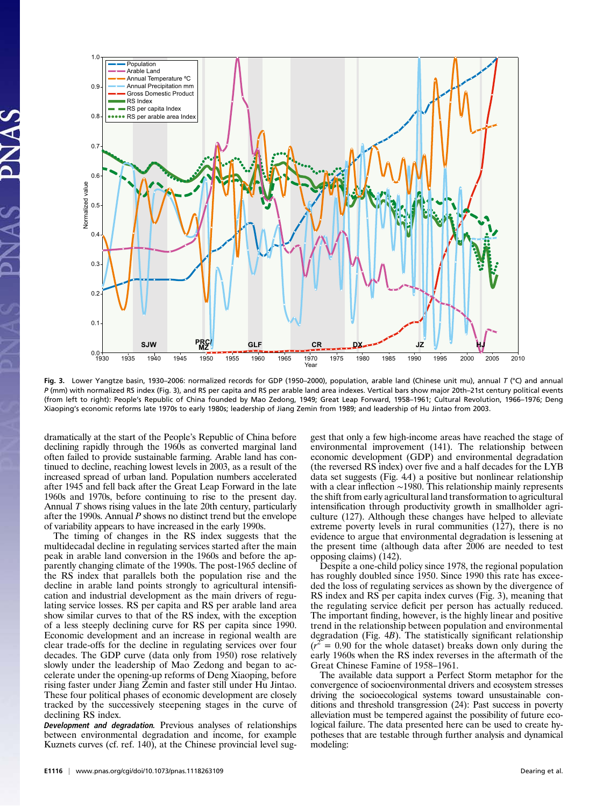

Fig. 3. Lower Yangtze basin, 1930–2006: normalized records for GDP (1950–2000), population, arable land (Chinese unit mu), annual T (°C) and annual P (mm) with normalized RS index (Fig. 3), and RS per capita and RS per arable land area indexes. Vertical bars show major 20th–21st century political events (from left to right): People's Republic of China founded by Mao Zedong, 1949; Great Leap Forward, 1958–1961; Cultural Revolution, 1966–1976; Deng Xiaoping's economic reforms late 1970s to early 1980s; leadership of Jiang Zemin from 1989; and leadership of Hu Jintao from 2003.

dramatically at the start of the People's Republic of China before declining rapidly through the 1960s as converted marginal land often failed to provide sustainable farming. Arable land has continued to decline, reaching lowest levels in 2003, as a result of the increased spread of urban land. Population numbers accelerated after 1945 and fell back after the Great Leap Forward in the late 1960s and 1970s, before continuing to rise to the present day. Annual T shows rising values in the late 20th century, particularly after the 1990s. Annual P shows no distinct trend but the envelope of variability appears to have increased in the early 1990s.

The timing of changes in the RS index suggests that the multidecadal decline in regulating services started after the main peak in arable land conversion in the 1960s and before the apparently changing climate of the 1990s. The post-1965 decline of the RS index that parallels both the population rise and the decline in arable land points strongly to agricultural intensification and industrial development as the main drivers of regulating service losses. RS per capita and RS per arable land area show similar curves to that of the RS index, with the exception of a less steeply declining curve for RS per capita since 1990. Economic development and an increase in regional wealth are clear trade-offs for the decline in regulating services over four decades. The GDP curve (data only from 1950) rose relatively slowly under the leadership of Mao Zedong and began to accelerate under the opening-up reforms of Deng Xiaoping, before rising faster under Jiang Zemin and faster still under Hu Jintao. These four political phases of economic development are closely tracked by the successively steepening stages in the curve of declining RS index.

Development and degradation. Previous analyses of relationships between environmental degradation and income, for example Kuznets curves (cf. ref. 140), at the Chinese provincial level suggest that only a few high-income areas have reached the stage of environmental improvement (141). The relationship between economic development (GDP) and environmental degradation (the reversed RS index) over five and a half decades for the LYB data set suggests (Fig. 4A) a positive but nonlinear relationship with a clear inflection ∼1980. This relationship mainly represents the shift from early agricultural land transformation to agricultural intensification through productivity growth in smallholder agriculture (127). Although these changes have helped to alleviate extreme poverty levels in rural communities (127), there is no evidence to argue that environmental degradation is lessening at the present time (although data after 2006 are needed to test opposing claims) (142).

Despite a one-child policy since 1978, the regional population has roughly doubled since 1950. Since 1990 this rate has exceeded the loss of regulating services as shown by the divergence of RS index and RS per capita index curves (Fig. 3), meaning that the regulating service deficit per person has actually reduced. The important finding, however, is the highly linear and positive trend in the relationship between population and environmental degradation (Fig. 4B). The statistically significant relationship  $(r^2 = 0.90)$  for the whole dataset) breaks down only during the early 1960s when the RS index reverses in the aftermath of the Great Chinese Famine of 1958–1961.

The available data support a Perfect Storm metaphor for the convergence of socioenvironmental drivers and ecosystem stresses driving the socioecological systems toward unsustainable conditions and threshold transgression (24): Past success in poverty alleviation must be tempered against the possibility of future ecological failure. The data presented here can be used to create hypotheses that are testable through further analysis and dynamical modeling: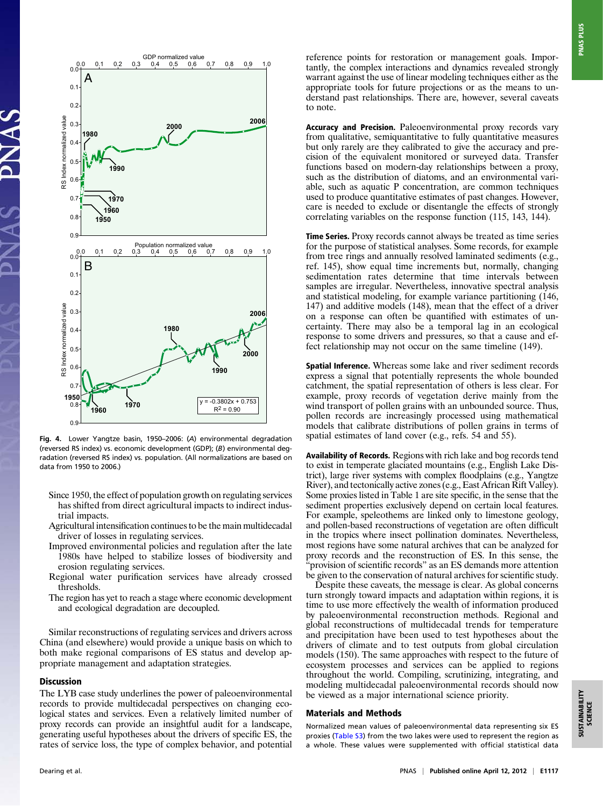**PNAS PLUS** PNAS PLUS



Fig. 4. Lower Yangtze basin, 1950–2006: (A) environmental degradation (reversed RS index) vs. economic development (GDP); (B) environmental degradation (reversed RS index) vs. population. (All normalizations are based on data from 1950 to 2006.)

- Since 1950, the effect of population growth on regulating services has shifted from direct agricultural impacts to indirect industrial impacts.
- Agricultural intensification continues to be the main multidecadal driver of losses in regulating services.
- Improved environmental policies and regulation after the late 1980s have helped to stabilize losses of biodiversity and erosion regulating services.
- Regional water purification services have already crossed thresholds.
- The region has yet to reach a stage where economic development and ecological degradation are decoupled.

Similar reconstructions of regulating services and drivers across China (and elsewhere) would provide a unique basis on which to both make regional comparisons of ES status and develop appropriate management and adaptation strategies.

### Discussion

The LYB case study underlines the power of paleoenvironmental records to provide multidecadal perspectives on changing ecological states and services. Even a relatively limited number of proxy records can provide an insightful audit for a landscape, generating useful hypotheses about the drivers of specific ES, the rates of service loss, the type of complex behavior, and potential reference points for restoration or management goals. Importantly, the complex interactions and dynamics revealed strongly warrant against the use of linear modeling techniques either as the appropriate tools for future projections or as the means to understand past relationships. There are, however, several caveats to note.

Accuracy and Precision. Paleoenvironmental proxy records vary from qualitative, semiquantitative to fully quantitative measures but only rarely are they calibrated to give the accuracy and precision of the equivalent monitored or surveyed data. Transfer functions based on modern-day relationships between a proxy, such as the distribution of diatoms, and an environmental variable, such as aquatic P concentration, are common techniques used to produce quantitative estimates of past changes. However, care is needed to exclude or disentangle the effects of strongly correlating variables on the response function (115, 143, 144).

Time Series. Proxy records cannot always be treated as time series for the purpose of statistical analyses. Some records, for example from tree rings and annually resolved laminated sediments (e.g., ref. 145), show equal time increments but, normally, changing sedimentation rates determine that time intervals between samples are irregular. Nevertheless, innovative spectral analysis and statistical modeling, for example variance partitioning (146, 147) and additive models (148), mean that the effect of a driver on a response can often be quantified with estimates of uncertainty. There may also be a temporal lag in an ecological response to some drivers and pressures, so that a cause and effect relationship may not occur on the same timeline (149).

Spatial Inference. Whereas some lake and river sediment records express a signal that potentially represents the whole bounded catchment, the spatial representation of others is less clear. For example, proxy records of vegetation derive mainly from the wind transport of pollen grains with an unbounded source. Thus, pollen records are increasingly processed using mathematical models that calibrate distributions of pollen grains in terms of spatial estimates of land cover (e.g., refs. 54 and 55).

Availability of Records. Regions with rich lake and bog records tend to exist in temperate glaciated mountains (e.g., English Lake District), large river systems with complex floodplains (e.g., Yangtze River), and tectonically active zones (e.g., East African Rift Valley). Some proxies listed in Table 1 are site specific, in the sense that the sediment properties exclusively depend on certain local features. For example, speleothems are linked only to limestone geology, and pollen-based reconstructions of vegetation are often difficult in the tropics where insect pollination dominates. Nevertheless, most regions have some natural archives that can be analyzed for proxy records and the reconstruction of ES. In this sense, the "provision of scientific records" as an ES demands more attention be given to the conservation of natural archives for scientific study.

Despite these caveats, the message is clear. As global concerns turn strongly toward impacts and adaptation within regions, it is time to use more effectively the wealth of information produced by paleoenvironmental reconstruction methods. Regional and global reconstructions of multidecadal trends for temperature and precipitation have been used to test hypotheses about the drivers of climate and to test outputs from global circulation models (150). The same approaches with respect to the future of ecosystem processes and services can be applied to regions throughout the world. Compiling, scrutinizing, integrating, and modeling multidecadal paleoenvironmental records should now be viewed as a major international science priority.

## Materials and Methods

Normalized mean values of paleoenvironmental data representing six ES proxies ([Table S3](http://www.pnas.org/lookup/suppl/doi:10.1073/pnas.1118263109/-/DCSupplemental/pnas.201118263SI.pdf?targetid=nameddest=ST3)) from the two lakes were used to represent the region as a whole. These values were supplemented with official statistical data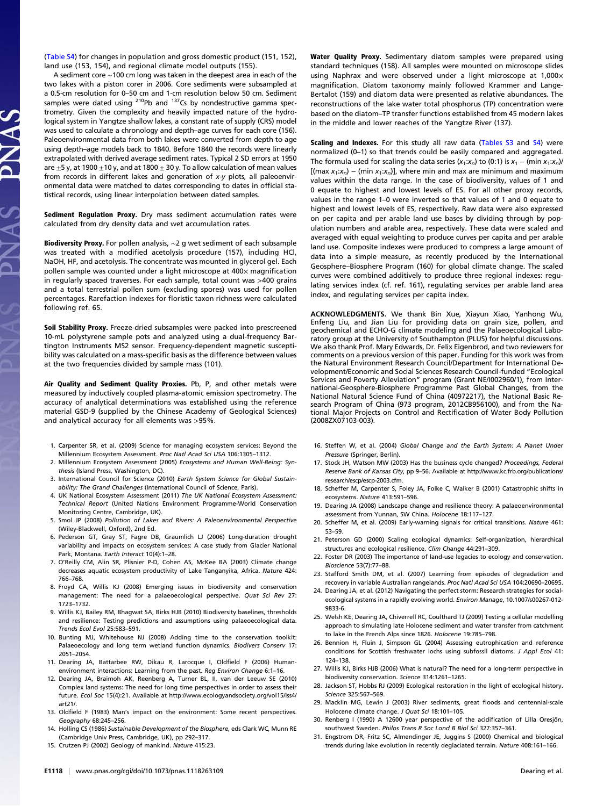[\(Table S4](http://www.pnas.org/lookup/suppl/doi:10.1073/pnas.1118263109/-/DCSupplemental/pnas.201118263SI.pdf?targetid=nameddest=ST4)) for changes in population and gross domestic product (151, 152), land use (153, 154), and regional climate model outputs (155).

A sediment core ∼100 cm long was taken in the deepest area in each of the two lakes with a piston corer in 2006. Core sediments were subsampled at a 0.5-cm resolution for 0–50 cm and 1-cm resolution below 50 cm. Sediment samples were dated using  $210$ Pb and  $137$ Cs by nondestructive gamma spectrometry. Given the complexity and heavily impacted nature of the hydrological system in Yangtze shallow lakes, a constant rate of supply (CRS) model was used to calculate a chronology and depth–age curves for each core (156). Paleoenvironmental data from both lakes were converted from depth to age using depth–age models back to 1840. Before 1840 the records were linearly extrapolated with derived average sediment rates. Typical 2 SD errors at 1950 are  $\pm$ 5 v, at 1900  $\pm$ 10 y, and at 1800  $\pm$  30 y. To allow calculation of mean values from records in different lakes and generation of x-y plots, all paleoenvironmental data were matched to dates corresponding to dates in official statistical records, using linear interpolation between dated samples.

Sediment Regulation Proxy. Dry mass sediment accumulation rates were calculated from dry density data and wet accumulation rates.

Biodiversity Proxy. For pollen analysis, ~2 g wet sediment of each subsample was treated with a modified acetolysis procedure (157), including HCl, NaOH, HF, and acetolysis. The concentrate was mounted in glycerol gel. Each pollen sample was counted under a light microscope at 400x magnification in regularly spaced traverses. For each sample, total count was >400 grains and a total terrestrial pollen sum (excluding spores) was used for pollen percentages. Rarefaction indexes for floristic taxon richness were calculated following ref. 65.

Soil Stability Proxy. Freeze-dried subsamples were packed into prescreened 10-mL polystyrene sample pots and analyzed using a dual-frequency Bartington Instruments MS2 sensor. Frequency-dependent magnetic susceptibility was calculated on a mass-specific basis as the difference between values at the two frequencies divided by sample mass (101).

Air Quality and Sediment Quality Proxies. Pb, P, and other metals were measured by inductively coupled plasma-atomic emission spectrometry. The accuracy of analytical determinations was established using the reference material GSD-9 (supplied by the Chinese Academy of Geological Sciences) and analytical accuracy for all elements was >95%.

- 1. Carpenter SR, et al. (2009) Science for managing ecosystem services: Beyond the Millennium Ecosystem Assessment. Proc Natl Acad Sci USA 106:1305–1312.
- 2. Millennium Ecosystem Assessment (2005) Ecosystems and Human Well-Being: Synthesis (Island Press, Washington, DC).
- 3. International Council for Science (2010) Earth System Science for Global Sustainability: The Grand Challenges (International Council of Science, Paris).
- 4. UK National Ecosystem Assessment (2011) The UK National Ecosystem Assessment: Technical Report (United Nations Environment Programme-World Conservation Monitoring Centre, Cambridge, UK).
- 5. Smol JP (2008) Pollution of Lakes and Rivers: A Paleoenvironmental Perspective (Wiley-Blackwell, Oxford), 2nd Ed.
- 6. Pederson GT, Gray ST, Fagre DB, Graumlich LJ (2006) Long-duration drought variability and impacts on ecosystem services: A case study from Glacier National Park, Montana. Earth Interact 10(4):1–28.
- 7. O'Reilly CM, Alin SR, Plisnier P-D, Cohen AS, McKee BA (2003) Climate change decreases aquatic ecosystem productivity of Lake Tanganyika, Africa. Nature 424: 766–768.
- 8. Froyd CA, Willis KJ (2008) Emerging issues in biodiversity and conservation management: The need for a palaeoecological perspective. Quat Sci Rev 27: 1723–1732.
- 9. Willis KJ, Bailey RM, Bhagwat SA, Birks HJB (2010) Biodiversity baselines, thresholds and resilience: Testing predictions and assumptions using palaeoecological data. Trends Ecol Evol 25:583–591.
- 10. Bunting MJ, Whitehouse NJ (2008) Adding time to the conservation toolkit: Palaeoecology and long term wetland function dynamics. Biodivers Conserv 17: 2051–2054.
- 11. Dearing JA, Battarbee RW, Dikau R, Larocque I, Oldfield F (2006) Humanenvironment interactions: Learning from the past. Reg Environ Change 6:1–16.
- 12. Dearing JA, Braimoh AK, Reenberg A, Turner BL, II, van der Leeuw SE (2010) Complex land systems: The need for long time perspectives in order to assess their future. Ecol Soc 15(4):21. Available at [http://www.ecologyandsociety.org/vol15/iss4/](http://www.ecologyandsociety.org/vol15/iss4/art21/) [art21/](http://www.ecologyandsociety.org/vol15/iss4/art21/).
- 13. Oldfield F (1983) Man's impact on the environment: Some recent perspectives. Geography 68:245–256.
- 14. Holling CS (1986) Sustainable Development of the Biosphere, eds Clark WC, Munn RE (Cambridge Univ Press, Cambridge, UK), pp 292–317.
- 15. Crutzen PJ (2002) Geology of mankind. Nature 415:23.

Water Quality Proxy. Sedimentary diatom samples were prepared using standard techniques (158). All samples were mounted on microscope slides using Naphrax and were observed under a light microscope at  $1,000 \times$ magnification. Diatom taxonomy mainly followed Krammer and Lange-Bertalot (159) and diatom data were presented as relative abundances. The reconstructions of the lake water total phosphorus (TP) concentration were based on the diatom–TP transfer functions established from 45 modern lakes in the middle and lower reaches of the Yangtze River (137).

Scaling and Indexes. For this study all raw data [\(Tables S3](http://www.pnas.org/lookup/suppl/doi:10.1073/pnas.1118263109/-/DCSupplemental/pnas.201118263SI.pdf?targetid=nameddest=ST3) and [S4\)](http://www.pnas.org/lookup/suppl/doi:10.1073/pnas.1118263109/-/DCSupplemental/pnas.201118263SI.pdf?targetid=nameddest=ST4) were normalized (0–1) so that trends could be easily compared and aggregated. The formula used for scaling the data series  $(x_1:x_n)$  to (0:1) is  $x_1 - (min x_1:x_n)$ / [(max  $x_1:x_n$ ) – (min  $x_1:x_n$ ], where min and max are minimum and maximum values within the data range. In the case of biodiversity, values of 1 and 0 equate to highest and lowest levels of ES. For all other proxy records, values in the range 1–0 were inverted so that values of 1 and 0 equate to highest and lowest levels of ES, respectively. Raw data were also expressed on per capita and per arable land use bases by dividing through by population numbers and arable area, respectively. These data were scaled and averaged with equal weighting to produce curves per capita and per arable land use. Composite indexes were produced to compress a large amount of data into a simple measure, as recently produced by the International Geosphere–Biosphere Program (160) for global climate change. The scaled curves were combined additively to produce three regional indexes: regulating services index (cf. ref. 161), regulating services per arable land area index, and regulating services per capita index.

ACKNOWLEDGMENTS. We thank Bin Xue, Xiayun Xiao, Yanhong Wu, Enfeng Liu, and Jian Liu for providing data on grain size, pollen, and geochemical and ECHO-G climate modeling and the Palaeoecological Laboratory group at the University of Southampton (PLUS) for helpful discussions. We also thank Prof. Mary Edwards, Dr. Felix Eigenbrod, and two reviewers for comments on a previous version of this paper. Funding for this work was from the Natural Environment Research Council/Department for International Development/Economic and Social Sciences Research Council-funded "Ecological Services and Poverty Alleviation" program (Grant NE/I002960/1), from International-Geosphere-Biosphere Programme Past Global Changes, from the National Natural Science Fund of China (40972217), the National Basic Research Program of China (973 program, 2012CB956100), and from the National Major Projects on Control and Rectification of Water Body Pollution (2008ZX07103-003).

- 16. Steffen W, et al. (2004) Global Change and the Earth System: A Planet Under Pressure (Springer, Berlin).
- 17. Stock JH, Watson MW (2003) Has the business cycle changed? Proceedings, Federal Reserve Bank of Kansas City, pp 9–56. Available at [http://www.kc.frb.org/publications/](http://www.kc.frb.org/publications/research/escp/escp-2003.cfm) [research/escp/escp-2003.cfm.](http://www.kc.frb.org/publications/research/escp/escp-2003.cfm)
- 18. Scheffer M, Carpenter S, Foley JA, Folke C, Walker B (2001) Catastrophic shifts in ecosystems. Nature 413:591–596.
- 19. Dearing JA (2008) Landscape change and resilience theory: A palaeoenvironmental assessment from Yunnan, SW China. Holocene 18:117–127.
- 20. Scheffer M, et al. (2009) Early-warning signals for critical transitions. Nature 461: 53–59.
- 21. Peterson GD (2000) Scaling ecological dynamics: Self-organization, hierarchical structures and ecological resilience. Clim Change 44:291–309.
- 22. Foster DR (2003) The importance of land-use legacies to ecology and conservation. Bioscience 53(7):77–88.
- 23. Stafford Smith DM, et al. (2007) Learning from episodes of degradation and recovery in variable Australian rangelands. Proc Natl Acad Sci USA 104:20690–20695.
- 24. Dearing JA, et al. (2012) Navigating the perfect storm: Research strategies for socialecological systems in a rapidly evolving world. Environ Manage, 10.1007/s00267-012- 9833-6.
- 25. Welsh KE, Dearing JA, Chiverrell RC, Coulthard TJ (2009) Testing a cellular modelling approach to simulating late Holocene sediment and water transfer from catchment to lake in the French Alps since 1826. Holocene 19:785–798.
- 26. Bennion H, Fluin J, Simpson GL (2004) Assessing eutrophication and reference conditions for Scottish freshwater lochs using subfossil diatoms. J Appl Ecol 41: 124–138.
- 27. Willis KJ, Birks HJB (2006) What is natural? The need for a long-term perspective in biodiversity conservation. Science 314:1261–1265.
- 28. Jackson ST, Hobbs RJ (2009) Ecological restoration in the light of ecological history. Science 325:567–569.
- 29. Macklin MG, Lewin J (2003) River sediments, great floods and centennial-scale Holocene climate change. J Quat Sci 18:101–105.
- 30. Renberg I (1990) A 12600 year perspective of the acidification of Lilla Oresjön, southwest Sweden. Philos Trans R Soc Lond B Biol Sci 327:357–361.
- 31. Engstrom DR, Fritz SC, Almendinger JE, Juggins S (2000) Chemical and biological trends during lake evolution in recently deglaciated terrain. Nature 408:161–166.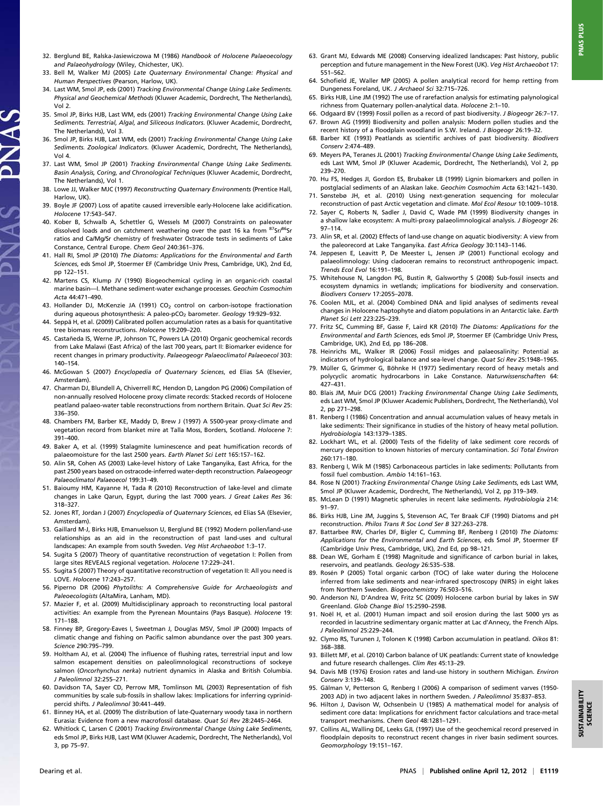- 32. Berglund BE, Ralska-Jasiewiczowa M (1986) Handbook of Holocene Palaeoecology and Palaeohydrology (Wiley, Chichester, UK).
- 33. Bell M, Walker MJ (2005) Late Quaternary Environmental Change: Physical and Human Perspectives (Pearson, Harlow, UK).
- 34. Last WM, Smol JP, eds (2001) Tracking Environmental Change Using Lake Sediments. Physical and Geochemical Methods (Kluwer Academic, Dordrecht, The Netherlands), Vol 2.
- 35. Smol JP, Birks HJB, Last WM, eds (2001) Tracking Environmental Change Using Lake Sediments. Terrestrial, Algal, and Siliceous Indicators. (Kluwer Academic, Dordrecht, The Netherlands), Vol 3.
- 36. Smol JP, Birks HJB, Last WM, eds (2001) Tracking Environmental Change Using Lake Sediments. Zoological Indicators. (Kluwer Academic, Dordrecht, The Netherlands), Vol 4.
- 37. Last WM, Smol JP (2001) Tracking Environmental Change Using Lake Sediments. Basin Analysis, Coring, and Chronological Techniques (Kluwer Academic, Dordrecht, The Netherlands), Vol 1.
- 38. Lowe JJ, Walker MJC (1997) Reconstructing Quaternary Environments (Prentice Hall, Harlow, UK).
- 39. Boyle JF (2007) Loss of apatite caused irreversible early-Holocene lake acidification. Holocene 17:543–547.
- 40. Kober B, Schwalb A, Schettler G, Wessels M (2007) Constraints on paleowater dissolved loads and on catchment weathering over the past 16 ka from 87Sr/86Sr ratios and Ca/Mg/Sr chemistry of freshwater Ostracode tests in sediments of Lake Constance, Central Europe. Chem Geol 240:361–376.
- 41. Hall RI, Smol JP (2010) The Diatoms: Applications for the Environmental and Earth Sciences, eds Smol JP, Stoermer EF (Cambridge Univ Press, Cambridge, UK), 2nd Ed, pp 122–151.
- 42. Martens CS, Klump JV (1990) Biogeochemical cycling in an organic-rich coastal marine basin—I. Methane sediment-water exchange processes. Geochim Cosmochim Acta 44:471–490.
- 43. Hollander DJ, McKenzie JA (1991)  $CO<sub>2</sub>$  control on carbon-isotope fractionation during aqueous photosynthesis: A paleo-pCO<sub>2</sub> barometer. Geology 19:929-932.
- 44. Seppä H, et al. (2009) Calibrated pollen accumulation rates as a basis for quantitative tree biomass reconstructions. Holocene 19:209–220.
- 45. Castañeda IS, Werne JP, Johnson TC, Powers LA (2010) Organic geochemical records from Lake Malawi (East Africa) of the last 700 years, part II: Biomarker evidence for recent changes in primary productivity. Palaeogeogr Palaeoclimatol Palaeoecol 303: 140–154.
- 46. McGowan S (2007) Encyclopedia of Quaternary Sciences, ed Elias SA (Elsevier, Amsterdam).
- 47. Charman DJ, Blundell A, Chiverrell RC, Hendon D, Langdon PG (2006) Compilation of non-annually resolved Holocene proxy climate records: Stacked records of Holocene peatland palaeo-water table reconstructions from northern Britain. Quat Sci Rev 25: 336–350.
- 48. Chambers FM, Barber KE, Maddy D, Brew J (1997) A 5500-year proxy-climate and vegetation record from blanket mire at Talla Moss, Borders, Scotland. Holocene 7: 391–400.
- 49. Baker A, et al. (1999) Stalagmite luminescence and peat humification records of palaeomoisture for the last 2500 years. Earth Planet Sci Lett 165:157–162.
- 50. Alin SR, Cohen AS (2003) Lake-level history of Lake Tanganyika, East Africa, for the past 2500 years based on ostracode-inferred water-depth reconstruction. Palaeogeogr Palaeoclimatol Palaeoecol 199:31–49.
- 51. Baioumy HM, Kayanne H, Tada R (2010) Reconstruction of lake-level and climate changes in Lake Qarun, Egypt, during the last 7000 years. J Great Lakes Res 36: 318–327.
- 52. Jones RT, Jordan J (2007) Encyclopedia of Quaternary Sciences, ed Elias SA (Elsevier, Amsterdam).
- 53. Gaillard M-J, Birks HJB, Emanuelsson U, Berglund BE (1992) Modern pollen/land-use relationships as an aid in the reconstruction of past land-uses and cultural landscapes: An example from south Sweden. Veg Hist Archaeobot 1:3–17.
- 54. Sugita S (2007) Theory of quantitative reconstruction of vegetation I: Pollen from large sites REVEALS regional vegetation. Holocene 17:229–241.
- 55. Sugita S (2007) Theory of quantitative reconstruction of vegetation II: All you need is LOVE. Holocene 17:243–257.
- 56. Piperno DR (2006) Phytoliths: A Comprehensive Guide for Archaeologists and Paleoecologists (AltaMira, Lanham, MD).
- 57. Mazier F, et al. (2009) Multidisciplinary approach to reconstructing local pastoral activities: An example from the Pyrenean Mountains (Pays Basque). Holocene 19: 171–188.
- 58. Finney BP, Gregory-Eaves I, Sweetman J, Douglas MSV, Smol JP (2000) Impacts of climatic change and fishing on Pacific salmon abundance over the past 300 years. Science 290:795–799.
- 59. Holtham AJ, et al. (2004) The influence of flushing rates, terrestrial input and low salmon escapement densities on paleolimnological reconstructions of sockeye salmon (Oncorhynchus nerka) nutrient dynamics in Alaska and British Columbia. J Paleolimnol 32:255–271.
- 60. Davidson TA, Sayer CD, Perrow MR, Tomlinson ML (2003) Representation of fish communities by scale sub-fossils in shallow lakes: Implications for inferring cyprinidpercid shifts. J Paleolimnol 30:441-449.
- 61. Binney HA, et al. (2009) The distribution of late-Quaternary woody taxa in northern Eurasia: Evidence from a new macrofossil database. Quat Sci Rev 28:2445–2464.
- 62. Whitlock C, Larsen C (2001) Tracking Environmental Change Using Lake Sediments, eds Smol JP, Birks HJB, Last WM (Kluwer Academic, Dordrecht, The Netherlands), Vol 3, pp 75–97.
- 63. Grant MJ, Edwards ME (2008) Conserving idealized landscapes: Past history, public perception and future management in the New Forest (UK). Veg Hist Archaeobot 17: 551–562.
- 64. Schofield JE, Waller MP (2005) A pollen analytical record for hemp retting from Dungeness Foreland, UK. J Archaeol Sci 32:715–726.
- 65. Birks HJB, Line JM (1992) The use of rarefaction analysis for estimating palynological richness from Quaternary pollen-analytical data. Holocene 2:1–10.
- 66. Odgaard BV (1999) Fossil pollen as a record of past biodiversity. J Biogeogr 26:7–17. 67. Brown AG (1999) Biodiversity and pollen analysis: Modern pollen studies and the
- recent history of a floodplain woodland in S.W. Ireland. J Biogeogr 26:19–32. 68. Barber KE (1993) Peatlands as scientific archives of past biodiversity. Biodivers Conserv 2:474–489.
- 69. Meyers PA, Teranes JL (2001) Tracking Environmental Change Using Lake Sediments, eds Last WM, Smol JP (Kluwer Academic, Dordrecht, The Netherlands), Vol 2, pp 239–270.
- 70. Hu FS, Hedges JI, Gordon ES, Brubaker LB (1999) Lignin biomarkers and pollen in postglacial sediments of an Alaskan lake. Geochim Cosmochim Acta 63:1421–1430.
- 71. Sønstebø JH, et al. (2010) Using next-generation sequencing for molecular reconstruction of past Arctic vegetation and climate. Mol Ecol Resour 10:1009–1018.
- 72. Sayer C, Roberts N, Sadler J, David C, Wade PM (1999) Biodiversity changes in a shallow lake ecosystem: A multi-proxy palaeolimnological analysis. J Biogeogr 26: 97–114.
- 73. Alin SR, et al. (2002) Effects of land-use change on aquatic biodiversity: A view from the paleorecord at Lake Tanganyika. East Africa Geology 30:1143–1146.
- 74. Jeppesen E, Leavitt P, De Meester L, Jensen JP (2001) Functional ecology and palaeolimnology: Using cladoceran remains to reconstruct anthropogenic impact. Trends Ecol Evol 16:191–198.
- 75. Whitehouse N, Langdon PG, Bustin R, Galsworthy S (2008) Sub-fossil insects and ecosystem dynamics in wetlands; implications for biodiversity and conservation. Biodivers Conserv 17:2055–2078.
- 76. Coolen MJL, et al. (2004) Combined DNA and lipid analyses of sediments reveal changes in Holocene haptophyte and diatom populations in an Antarctic lake. Earth Planet Sci Lett 223:225–239.
- 77. Fritz SC, Cumming BF, Gasse F, Laird KR (2010) The Diatoms: Applications for the Environmental and Earth Sciences, eds Smol JP, Stoermer EF (Cambridge Univ Press, Cambridge, UK), 2nd Ed, pp 186–208.
- 78. Heinrichs ML, Walker IR (2006) Fossil midges and palaeosalinity: Potential as indicators of hydrological balance and sea-level change. Quat Sci Rev 25:1948–1965.
- 79. Müller G, Grimmer G, Böhnke H (1977) Sedimentary record of heavy metals and polycyclic aromatic hydrocarbons in Lake Constance. Naturwissenschaften 64: 427–431.
- 80. Blais JM, Muir DCG (2001) Tracking Environmental Change Using Lake Sediments, eds Last WM, Smol JP (Kluwer Academic Publishers, Dordrecht, The Netherlands), Vol 2, pp 271–298.
- 81. Renberg I (1986) Concentration and annual accumulation values of heavy metals in lake sediments: Their significance in studies of the history of heavy metal pollution. Hydrobiologia 143:1379–1385.
- 82. Lockhart WL, et al. (2000) Tests of the fidelity of lake sediment core records of mercury deposition to known histories of mercury contamination. Sci Total Environ 260:171–180.
- 83. Renberg I, Wik M (1985) Carbonaceous particles in lake sediments: Pollutants from fossil fuel combustion. Ambio 14:161–163.
- 84. Rose N (2001) Tracking Environmental Change Using Lake Sediments, eds Last WM, Smol JP (Kluwer Academic, Dordrecht, The Netherlands), Vol 2, pp 319–349.
- 85. McLean D (1991) Magnetic spherules in recent lake sediments. Hydrobiologia 214: 91–97.
- 86. Birks HJB, Line JM, Juggins S, Stevenson AC, Ter Braak CJF (1990) Diatoms and pH reconstruction. Philos Trans R Soc Lond Ser B 327:263–278.
- 87. Battarbee RW, Charles DF, Bigler C, Cumming BF, Renberg I (2010) The Diatoms: Applications for the Environmental and Earth Sciences, eds Smol JP, Stoermer EF (Cambridge Univ Press, Cambridge, UK), 2nd Ed, pp 98–121.
- 88. Dean WE, Gorham E (1998) Magnitude and significance of carbon burial in lakes, reservoirs, and peatlands. Geology 26:535–538.
- 89. Rosén P (2005) Total organic carbon (TOC) of lake water during the Holocene inferred from lake sediments and near-infrared spectroscopy (NIRS) in eight lakes from Northern Sweden. Biogeochemistry 76:503–516.
- 90. Anderson NJ, D'Andrea W, Fritz SC (2009) Holocene carbon burial by lakes in SW Greenland. Glob Change Biol 15:2590–2598.
- 91. Noël H, et al. (2001) Human impact and soil erosion during the last 5000 yrs as recorded in lacustrine sedimentary organic matter at Lac d'Annecy, the French Alps. J Paleolimnol 25:229–244.
- 92. Clymo RS, Turunen J, Tolonen K (1998) Carbon accumulation in peatland. Oikos 81: 368–388.
- 93. Billett MF, et al. (2010) Carbon balance of UK peatlands: Current state of knowledge and future research challenges. Clim Res 45:13–29.
- 94. Davis MB (1976) Erosion rates and land-use history in southern Michigan. Environ Conserv 3:139–148.
- 95. Gälman V, Petterson G, Renberg I (2006) A comparison of sediment varves (1950- 2003 AD) in two adjacent lakes in northern Sweden. J Paleolimnol 35:837–853.
- 96. Hilton J, Davison W, Ochsenbein U (1985) A mathematical model for analysis of sediment core data: Implications for enrichment factor calculations and trace-metal transport mechanisms. Chem Geol 48:1281–1291.
- 97. Collins AL, Walling DE, Leeks GJL (1997) Use of the geochemical record preserved in floodplain deposits to reconstruct recent changes in river basin sediment sources. Geomorphology 19:151–167.

SUSTAINABILITY SUSTAINABILITY<br>SCIENCE